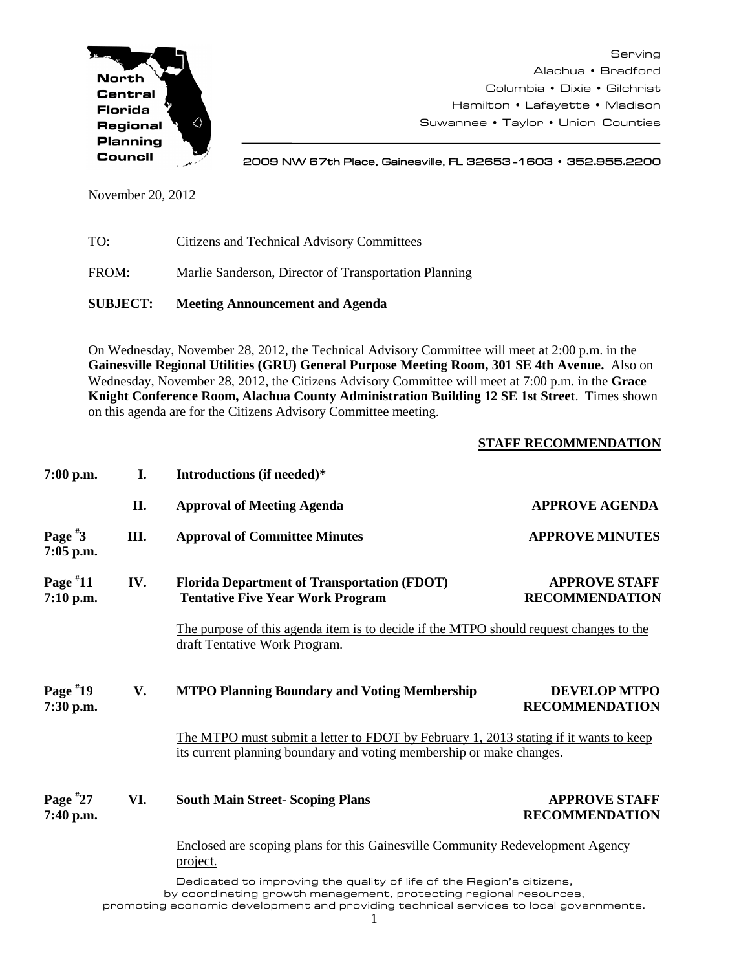

Serving Alachua • Bradford Columbia • Dixie • Gilchrist Hamilton • Lafayette • Madison Suwannee • Taylor • Union Counties

2009 NW 67th Place, Gainesville, FL 32653 -1603 • 352.955.2200

November 20, 2012

| TO: | Citizens and Technical Advisory Committees |
|-----|--------------------------------------------|
|-----|--------------------------------------------|

FROM: Marlie Sanderson, Director of Transportation Planning

**SUBJECT: Meeting Announcement and Agenda**

On Wednesday, November 28, 2012, the Technical Advisory Committee will meet at 2:00 p.m. in the **Gainesville Regional Utilities (GRU) General Purpose Meeting Room, 301 SE 4th Avenue.** Also on Wednesday, November 28, 2012, the Citizens Advisory Committee will meet at 7:00 p.m. in the **Grace Knight Conference Room, Alachua County Administration Building 12 SE 1st Street**. Times shown on this agenda are for the Citizens Advisory Committee meeting.

## **STAFF RECOMMENDATION**

| $7:00$ p.m.              | I.                                                                                                | Introductions (if needed)*                                                                                              |                                                                                       |  |  |
|--------------------------|---------------------------------------------------------------------------------------------------|-------------------------------------------------------------------------------------------------------------------------|---------------------------------------------------------------------------------------|--|--|
|                          | II.                                                                                               | <b>Approval of Meeting Agenda</b>                                                                                       | <b>APPROVE AGENDA</b>                                                                 |  |  |
| Page $*3$<br>$7:05$ p.m. | III.                                                                                              | <b>Approval of Committee Minutes</b>                                                                                    | <b>APPROVE MINUTES</b>                                                                |  |  |
| Page $*11$<br>7:10 p.m.  | IV.                                                                                               | <b>Florida Department of Transportation (FDOT)</b><br><b>Tentative Five Year Work Program</b>                           | <b>APPROVE STAFF</b><br><b>RECOMMENDATION</b>                                         |  |  |
|                          |                                                                                                   | The purpose of this agenda item is to decide if the MTPO should request changes to the<br>draft Tentative Work Program. |                                                                                       |  |  |
| Page $*19$<br>7:30 p.m.  | V.                                                                                                | <b>MTPO Planning Boundary and Voting Membership</b>                                                                     | <b>DEVELOP MTPO</b><br><b>RECOMMENDATION</b>                                          |  |  |
|                          |                                                                                                   | its current planning boundary and voting membership or make changes.                                                    | The MTPO must submit a letter to FDOT by February 1, 2013 stating if it wants to keep |  |  |
| Page $*27$<br>7:40 p.m.  | VI.                                                                                               | <b>South Main Street- Scoping Plans</b>                                                                                 | <b>APPROVE STAFF</b><br><b>RECOMMENDATION</b>                                         |  |  |
|                          | Enclosed are scoping plans for this Gainesville Community Redevelopment Agency<br><u>project.</u> |                                                                                                                         |                                                                                       |  |  |